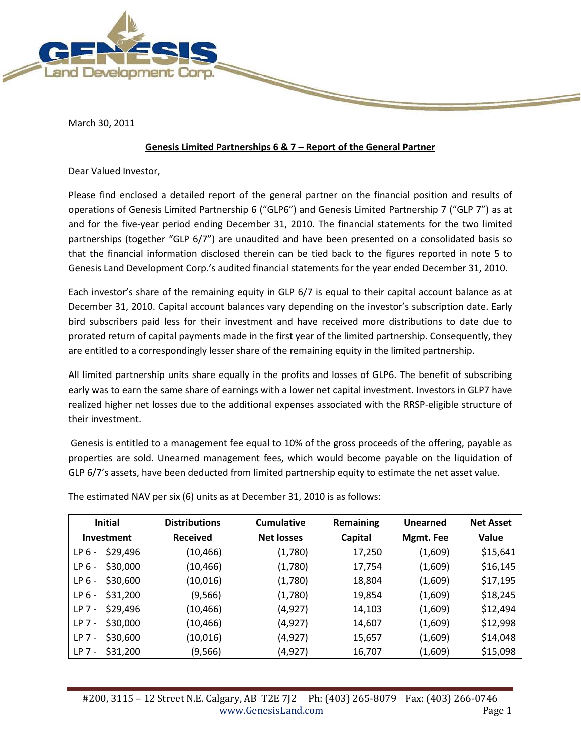

March 30, 2011

#### **Genesis Limited Partnerships 6 & 7 – Report of the General Partner**

Dear Valued Investor,

Please find enclosed a detailed report of the general partner on the financial position and results of operations of Genesis Limited Partnership 6 ("GLP6") and Genesis Limited Partnership 7 ("GLP 7") as at and for the five-year period ending December 31, 2010. The financial statements for the two limited partnerships (together "GLP 6/7") are unaudited and have been presented on a consolidated basis so that the financial information disclosed therein can be tied back to the figures reported in note 5 to Genesis Land Development Corp.'s audited financial statements for the year ended December 31, 2010.

Each investor's share of the remaining equity in GLP 6/7 is equal to their capital account balance as at December 31, 2010. Capital account balances vary depending on the investor's subscription date. Early bird subscribers paid less for their investment and have received more distributions to date due to prorated return of capital payments made in the first year of the limited partnership. Consequently, they are entitled to a correspondingly lesser share of the remaining equity in the limited partnership.

All limited partnership units share equally in the profits and losses of GLP6. The benefit of subscribing early was to earn the same share of earnings with a lower net capital investment. Investors in GLP7 have realized higher net losses due to the additional expenses associated with the RRSP-eligible structure of their investment.

Genesis is entitled to a management fee equal to 10% of the gross proceeds of the offering, payable as properties are sold. Unearned management fees, which would become payable on the liquidation of GLP 6/7's assets, have been deducted from limited partnership equity to estimate the net asset value.

| <b>Initial</b>              | <b>Distributions</b><br>Cumulative |                   | Remaining | Unearned  | <b>Net Asset</b> |
|-----------------------------|------------------------------------|-------------------|-----------|-----------|------------------|
| Investment                  | <b>Received</b>                    | <b>Net losses</b> | Capital   | Mgmt. Fee | Value            |
| \$29,496<br>LP <sub>6</sub> | (10, 466)                          | (1,780)           | 17,250    | (1,609)   | \$15,641         |
| \$30,000<br>LP <sub>6</sub> | (10, 466)                          | (1,780)           | 17,754    | (1,609)   | \$16,145         |
| \$30,600<br>LP <sub>6</sub> | (10,016)                           | (1,780)           | 18,804    | (1,609)   | \$17,195         |
| \$31,200<br>LP <sub>6</sub> | (9, 566)                           | (1,780)           | 19,854    | (1,609)   | \$18,245         |
| \$29,496<br>$LP$ 7 -        | (10, 466)                          | (4, 927)          | 14,103    | (1,609)   | \$12,494         |
| \$30,000<br>$LP$ 7 -        | (10, 466)                          | (4,927)           | 14,607    | (1,609)   | \$12,998         |
| \$30,600<br>$LP$ 7 -        | (10,016)                           | (4, 927)          | 15,657    | (1,609)   | \$14,048         |
| \$31,200<br>$LP$ 7 -        | (9, 566)                           | (4,927)           | 16,707    | (1,609)   | \$15,098         |

The estimated NAV per six (6) units as at December 31, 2010 is as follows: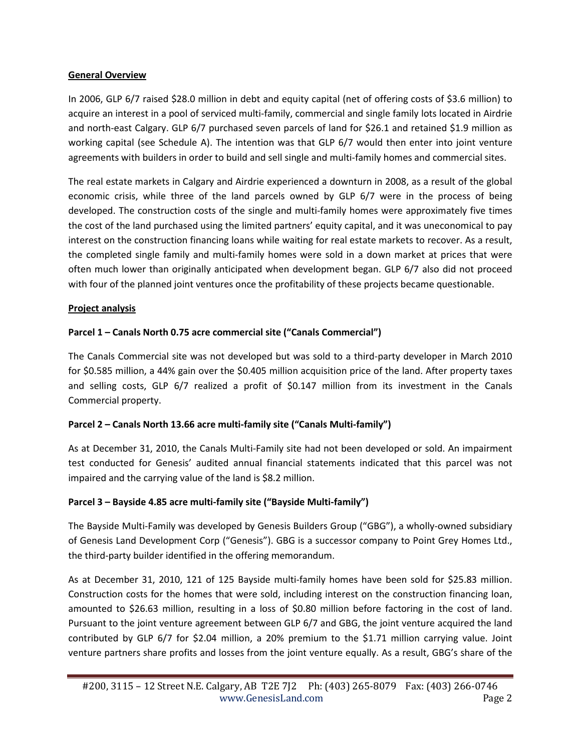#### **General Overview**

In 2006, GLP 6/7 raised \$28.0 million in debt and equity capital (net of offering costs of \$3.6 million) to acquire an interest in a pool of serviced multi-family, commercial and single family lots located in Airdrie and north-east Calgary. GLP 6/7 purchased seven parcels of land for \$26.1 and retained \$1.9 million as working capital (see Schedule A). The intention was that GLP 6/7 would then enter into joint venture agreements with builders in order to build and sell single and multi-family homes and commercial sites.

The real estate markets in Calgary and Airdrie experienced a downturn in 2008, as a result of the global economic crisis, while three of the land parcels owned by GLP 6/7 were in the process of being developed. The construction costs of the single and multi-family homes were approximately five times the cost of the land purchased using the limited partners' equity capital, and it was uneconomical to pay interest on the construction financing loans while waiting for real estate markets to recover. As a result, the completed single family and multi-family homes were sold in a down market at prices that were often much lower than originally anticipated when development began. GLP 6/7 also did not proceed with four of the planned joint ventures once the profitability of these projects became questionable.

### **Project analysis**

## **Parcel 1 – Canals North 0.75 acre commercial site ("Canals Commercial")**

The Canals Commercial site was not developed but was sold to a third-party developer in March 2010 for \$0.585 million, a 44% gain over the \$0.405 million acquisition price of the land. After property taxes and selling costs, GLP 6/7 realized a profit of \$0.147 million from its investment in the Canals Commercial property.

### **Parcel 2 – Canals North 13.66 acre multi-family site ("Canals Multi-family")**

As at December 31, 2010, the Canals Multi-Family site had not been developed or sold. An impairment test conducted for Genesis' audited annual financial statements indicated that this parcel was not impaired and the carrying value of the land is \$8.2 million.

### **Parcel 3 – Bayside 4.85 acre multi-family site ("Bayside Multi-family")**

The Bayside Multi-Family was developed by Genesis Builders Group ("GBG"), a wholly-owned subsidiary of Genesis Land Development Corp ("Genesis"). GBG is a successor company to Point Grey Homes Ltd., the third-party builder identified in the offering memorandum.

As at December 31, 2010, 121 of 125 Bayside multi-family homes have been sold for \$25.83 million. Construction costs for the homes that were sold, including interest on the construction financing loan, amounted to \$26.63 million, resulting in a loss of \$0.80 million before factoring in the cost of land. Pursuant to the joint venture agreement between GLP 6/7 and GBG, the joint venture acquired the land contributed by GLP 6/7 for \$2.04 million, a 20% premium to the \$1.71 million carrying value. Joint venture partners share profits and losses from the joint venture equally. As a result, GBG's share of the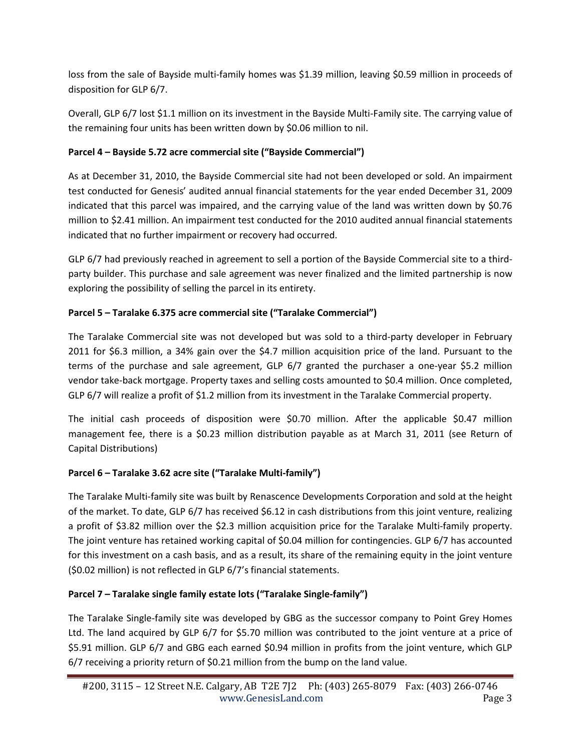loss from the sale of Bayside multi-family homes was \$1.39 million, leaving \$0.59 million in proceeds of disposition for GLP 6/7.

Overall, GLP 6/7 lost \$1.1 million on its investment in the Bayside Multi-Family site. The carrying value of the remaining four units has been written down by \$0.06 million to nil.

# **Parcel 4 – Bayside 5.72 acre commercial site ("Bayside Commercial")**

As at December 31, 2010, the Bayside Commercial site had not been developed or sold. An impairment test conducted for Genesis' audited annual financial statements for the year ended December 31, 2009 indicated that this parcel was impaired, and the carrying value of the land was written down by \$0.76 million to \$2.41 million. An impairment test conducted for the 2010 audited annual financial statements indicated that no further impairment or recovery had occurred.

GLP 6/7 had previously reached in agreement to sell a portion of the Bayside Commercial site to a thirdparty builder. This purchase and sale agreement was never finalized and the limited partnership is now exploring the possibility of selling the parcel in its entirety.

# **Parcel 5 – Taralake 6.375 acre commercial site ("Taralake Commercial")**

The Taralake Commercial site was not developed but was sold to a third-party developer in February 2011 for \$6.3 million, a 34% gain over the \$4.7 million acquisition price of the land. Pursuant to the terms of the purchase and sale agreement, GLP 6/7 granted the purchaser a one-year \$5.2 million vendor take-back mortgage. Property taxes and selling costs amounted to \$0.4 million. Once completed, GLP 6/7 will realize a profit of \$1.2 million from its investment in the Taralake Commercial property.

The initial cash proceeds of disposition were \$0.70 million. After the applicable \$0.47 million management fee, there is a \$0.23 million distribution payable as at March 31, 2011 (see Return of Capital Distributions)

# **Parcel 6 – Taralake 3.62 acre site ("Taralake Multi-family")**

The Taralake Multi-family site was built by Renascence Developments Corporation and sold at the height of the market. To date, GLP 6/7 has received \$6.12 in cash distributions from this joint venture, realizing a profit of \$3.82 million over the \$2.3 million acquisition price for the Taralake Multi-family property. The joint venture has retained working capital of \$0.04 million for contingencies. GLP 6/7 has accounted for this investment on a cash basis, and as a result, its share of the remaining equity in the joint venture (\$0.02 million) is not reflected in GLP 6/7's financial statements.

# **Parcel 7 – Taralake single family estate lots ("Taralake Single-family")**

The Taralake Single-family site was developed by GBG as the successor company to Point Grey Homes Ltd. The land acquired by GLP 6/7 for \$5.70 million was contributed to the joint venture at a price of \$5.91 million. GLP 6/7 and GBG each earned \$0.94 million in profits from the joint venture, which GLP 6/7 receiving a priority return of \$0.21 million from the bump on the land value.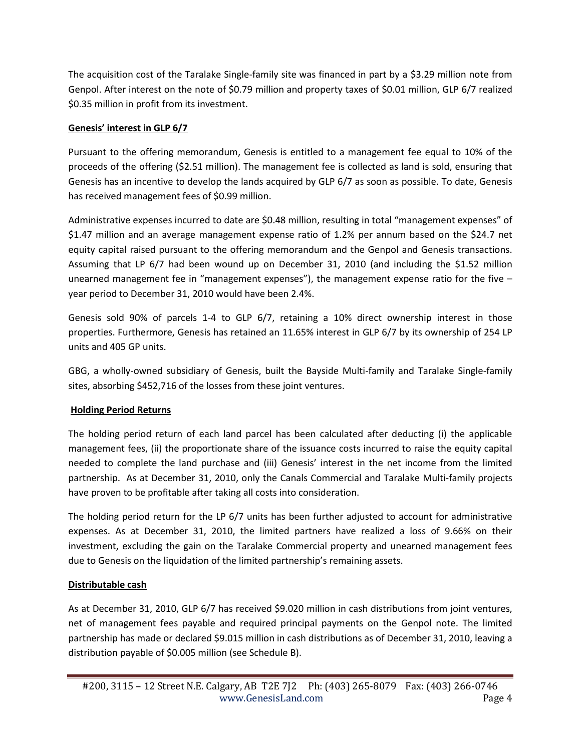The acquisition cost of the Taralake Single-family site was financed in part by a \$3.29 million note from Genpol. After interest on the note of \$0.79 million and property taxes of \$0.01 million, GLP 6/7 realized \$0.35 million in profit from its investment.

## **Genesis' interest in GLP 6/7**

Pursuant to the offering memorandum, Genesis is entitled to a management fee equal to 10% of the proceeds of the offering (\$2.51 million). The management fee is collected as land is sold, ensuring that Genesis has an incentive to develop the lands acquired by GLP 6/7 as soon as possible. To date, Genesis has received management fees of \$0.99 million.

Administrative expenses incurred to date are \$0.48 million, resulting in total "management expenses" of \$1.47 million and an average management expense ratio of 1.2% per annum based on the \$24.7 net equity capital raised pursuant to the offering memorandum and the Genpol and Genesis transactions. Assuming that LP 6/7 had been wound up on December 31, 2010 (and including the \$1.52 million unearned management fee in "management expenses"), the management expense ratio for the five – year period to December 31, 2010 would have been 2.4%.

Genesis sold 90% of parcels 1-4 to GLP 6/7, retaining a 10% direct ownership interest in those properties. Furthermore, Genesis has retained an 11.65% interest in GLP 6/7 by its ownership of 254 LP units and 405 GP units.

GBG, a wholly-owned subsidiary of Genesis, built the Bayside Multi-family and Taralake Single-family sites, absorbing \$452,716 of the losses from these joint ventures.

### **Holding Period Returns**

The holding period return of each land parcel has been calculated after deducting (i) the applicable management fees, (ii) the proportionate share of the issuance costs incurred to raise the equity capital needed to complete the land purchase and (iii) Genesis' interest in the net income from the limited partnership. As at December 31, 2010, only the Canals Commercial and Taralake Multi-family projects have proven to be profitable after taking all costs into consideration.

The holding period return for the LP 6/7 units has been further adjusted to account for administrative expenses. As at December 31, 2010, the limited partners have realized a loss of 9.66% on their investment, excluding the gain on the Taralake Commercial property and unearned management fees due to Genesis on the liquidation of the limited partnership's remaining assets.

### **Distributable cash**

As at December 31, 2010, GLP 6/7 has received \$9.020 million in cash distributions from joint ventures, net of management fees payable and required principal payments on the Genpol note. The limited partnership has made or declared \$9.015 million in cash distributions as of December 31, 2010, leaving a distribution payable of \$0.005 million (see Schedule B).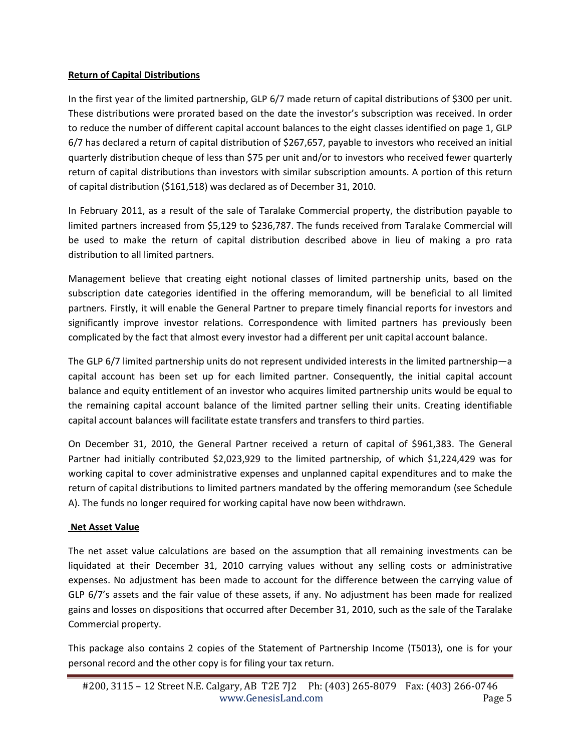#### **Return of Capital Distributions**

In the first year of the limited partnership, GLP 6/7 made return of capital distributions of \$300 per unit. These distributions were prorated based on the date the investor's subscription was received. In order to reduce the number of different capital account balances to the eight classes identified on page 1, GLP 6/7 has declared a return of capital distribution of \$267,657, payable to investors who received an initial quarterly distribution cheque of less than \$75 per unit and/or to investors who received fewer quarterly return of capital distributions than investors with similar subscription amounts. A portion of this return of capital distribution (\$161,518) was declared as of December 31, 2010.

In February 2011, as a result of the sale of Taralake Commercial property, the distribution payable to limited partners increased from \$5,129 to \$236,787. The funds received from Taralake Commercial will be used to make the return of capital distribution described above in lieu of making a pro rata distribution to all limited partners.

Management believe that creating eight notional classes of limited partnership units, based on the subscription date categories identified in the offering memorandum, will be beneficial to all limited partners. Firstly, it will enable the General Partner to prepare timely financial reports for investors and significantly improve investor relations. Correspondence with limited partners has previously been complicated by the fact that almost every investor had a different per unit capital account balance.

The GLP 6/7 limited partnership units do not represent undivided interests in the limited partnership—a capital account has been set up for each limited partner. Consequently, the initial capital account balance and equity entitlement of an investor who acquires limited partnership units would be equal to the remaining capital account balance of the limited partner selling their units. Creating identifiable capital account balances will facilitate estate transfers and transfers to third parties.

On December 31, 2010, the General Partner received a return of capital of \$961,383. The General Partner had initially contributed \$2,023,929 to the limited partnership, of which \$1,224,429 was for working capital to cover administrative expenses and unplanned capital expenditures and to make the return of capital distributions to limited partners mandated by the offering memorandum (see Schedule A). The funds no longer required for working capital have now been withdrawn.

### **Net Asset Value**

The net asset value calculations are based on the assumption that all remaining investments can be liquidated at their December 31, 2010 carrying values without any selling costs or administrative expenses. No adjustment has been made to account for the difference between the carrying value of GLP 6/7's assets and the fair value of these assets, if any. No adjustment has been made for realized gains and losses on dispositions that occurred after December 31, 2010, such as the sale of the Taralake Commercial property.

This package also contains 2 copies of the Statement of Partnership Income (T5013), one is for your personal record and the other copy is for filing your tax return.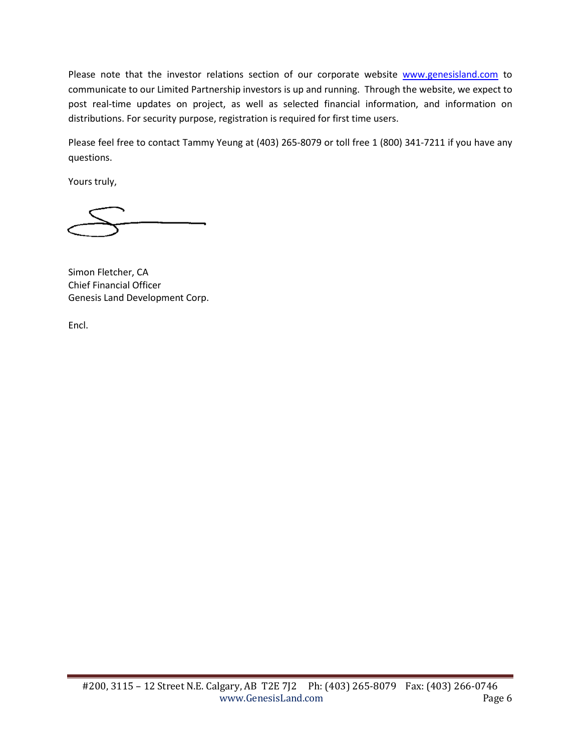Please note that the investor relations section of our corporate website [www.genesisland.com](http://www.genesisland.com/) to communicate to our Limited Partnership investors is up and running. Through the website, we expect to post real-time updates on project, as well as selected financial information, and information on distributions. For security purpose, registration is required for first time users.

Please feel free to contact Tammy Yeung at (403) 265-8079 or toll free 1 (800) 341-7211 if you have any questions.

Yours truly,

Simon Fletcher, CA Chief Financial Officer Genesis Land Development Corp.

Encl.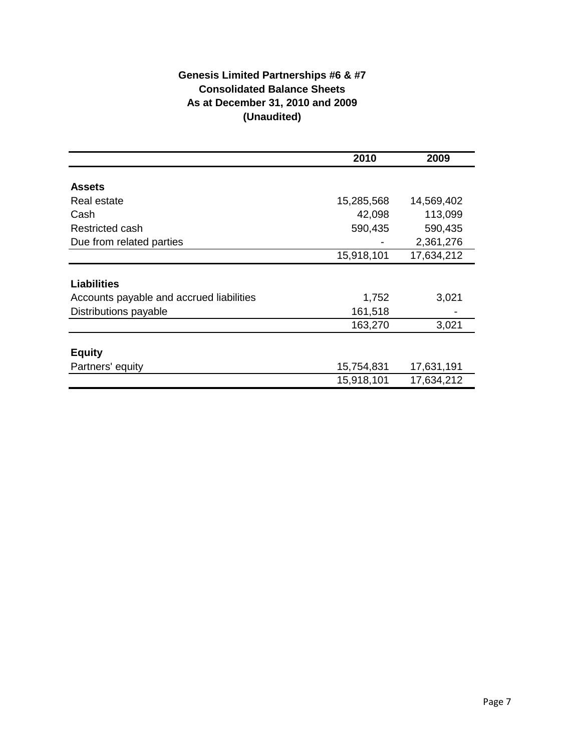# **Genesis Limited Partnerships #6 & #7 Consolidated Balance Sheets As at December 31, 2010 and 2009 (Unaudited)**

|                                          | 2010       | 2009       |
|------------------------------------------|------------|------------|
|                                          |            |            |
| <b>Assets</b>                            |            |            |
| Real estate                              | 15,285,568 | 14,569,402 |
| Cash                                     | 42,098     | 113,099    |
| Restricted cash                          | 590,435    | 590,435    |
| Due from related parties                 |            | 2,361,276  |
|                                          | 15,918,101 | 17,634,212 |
|                                          |            |            |
| <b>Liabilities</b>                       |            |            |
| Accounts payable and accrued liabilities | 1,752      | 3,021      |
| Distributions payable                    | 161,518    |            |
|                                          | 163,270    | 3,021      |
|                                          |            |            |
| <b>Equity</b>                            |            |            |
| Partners' equity                         | 15,754,831 | 17,631,191 |
|                                          | 15,918,101 | 17,634,212 |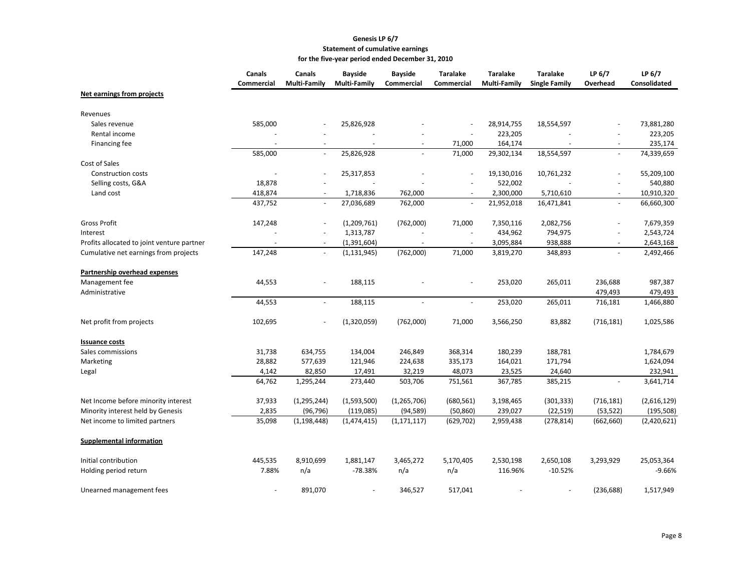#### **Genesis LP 6/7 Statement of cumulative earnings for the five-year period ended December 31, 2010**

|                                            | Canals<br><b>Commercial</b> | Canals<br><b>Multi-Family</b> | <b>Bayside</b><br>Multi-Family | <b>Bayside</b><br><b>Commercial</b> | <b>Taralake</b><br><b>Commercial</b> | <b>Taralake</b><br><b>Multi-Family</b> | <b>Taralake</b><br><b>Single Family</b> | LP 6/7<br>Overhead       | LP 6/7<br>Consolidated |
|--------------------------------------------|-----------------------------|-------------------------------|--------------------------------|-------------------------------------|--------------------------------------|----------------------------------------|-----------------------------------------|--------------------------|------------------------|
| Net earnings from projects                 |                             |                               |                                |                                     |                                      |                                        |                                         |                          |                        |
| Revenues                                   |                             |                               |                                |                                     |                                      |                                        |                                         |                          |                        |
| Sales revenue                              | 585,000                     |                               | 25,826,928                     |                                     |                                      | 28,914,755                             | 18,554,597                              |                          | 73,881,280             |
| Rental income                              |                             |                               |                                |                                     |                                      | 223,205                                |                                         |                          | 223,205                |
| Financing fee                              |                             |                               |                                |                                     | 71,000                               | 164,174                                |                                         |                          | 235,174                |
|                                            | 585,000                     | $\sim$                        | 25,826,928                     |                                     | 71,000                               | 29,302,134                             | 18,554,597                              | L.                       | 74,339,659             |
| Cost of Sales                              |                             |                               |                                |                                     |                                      |                                        |                                         |                          |                        |
| <b>Construction costs</b>                  |                             |                               | 25,317,853                     |                                     |                                      | 19,130,016                             | 10,761,232                              |                          | 55,209,100             |
| Selling costs, G&A                         | 18,878                      |                               |                                |                                     |                                      | 522,002                                |                                         |                          | 540,880                |
| Land cost                                  | 418,874                     |                               | 1,718,836                      | 762,000                             |                                      | 2,300,000                              | 5,710,610                               |                          | 10,910,320             |
|                                            | 437,752                     | $\blacksquare$                | 27,036,689                     | 762,000                             | $\sim$                               | 21,952,018                             | 16,471,841                              | $\blacksquare$           | 66,660,300             |
| <b>Gross Profit</b>                        | 147,248                     |                               | (1,209,761)                    | (762,000)                           | 71,000                               | 7,350,116                              | 2,082,756                               |                          | 7,679,359              |
| Interest                                   |                             | $\overline{\phantom{a}}$      | 1,313,787                      |                                     | $\sim$                               | 434,962                                | 794,975                                 | ä,                       | 2,543,724              |
| Profits allocated to joint venture partner | $\sim$                      | $\overline{\phantom{a}}$      | (1,391,604)                    | $\blacksquare$                      | $\sim$                               | 3,095,884                              | 938,888                                 | $\overline{\phantom{a}}$ | 2,643,168              |
| Cumulative net earnings from projects      | 147,248                     | $\blacksquare$                | (1, 131, 945)                  | (762,000)                           | 71,000                               | 3,819,270                              | 348,893                                 | $\overline{\phantom{a}}$ | 2,492,466              |
| Partnership overhead expenses              |                             |                               |                                |                                     |                                      |                                        |                                         |                          |                        |
| Management fee                             | 44,553                      |                               | 188,115                        |                                     |                                      | 253,020                                | 265,011                                 | 236,688                  | 987,387                |
| Administrative                             |                             |                               |                                |                                     |                                      |                                        |                                         | 479,493                  | 479,493                |
|                                            | 44,553                      |                               | 188,115                        |                                     |                                      | 253,020                                | 265,011                                 | 716,181                  | 1,466,880              |
| Net profit from projects                   | 102,695                     |                               | (1,320,059)                    | (762,000)                           | 71,000                               | 3,566,250                              | 83,882                                  | (716, 181)               | 1,025,586              |
| <b>Issuance costs</b>                      |                             |                               |                                |                                     |                                      |                                        |                                         |                          |                        |
| Sales commissions                          | 31,738                      | 634,755                       | 134,004                        | 246,849                             | 368,314                              | 180,239                                | 188,781                                 |                          | 1,784,679              |
| Marketing                                  | 28,882                      | 577,639                       | 121,946                        | 224,638                             | 335,173                              | 164,021                                | 171,794                                 |                          | 1,624,094              |
| Legal                                      | 4,142                       | 82,850                        | 17,491                         | 32,219                              | 48,073                               | 23,525                                 | 24,640                                  |                          | 232,941                |
|                                            | 64,762                      | 1,295,244                     | 273,440                        | 503,706                             | 751,561                              | 367,785                                | 385,215                                 |                          | 3,641,714              |
| Net Income before minority interest        | 37,933                      | (1, 295, 244)                 | (1,593,500)                    | (1, 265, 706)                       | (680, 561)                           | 3,198,465                              | (301, 333)                              | (716, 181)               | (2,616,129)            |
| Minority interest held by Genesis          | 2,835                       | (96, 796)                     | (119,085)                      | (94, 589)                           | (50, 860)                            | 239,027                                | (22, 519)                               | (53, 522)                | (195, 508)             |
| Net income to limited partners             | 35,098                      | (1, 198, 448)                 | (1,474,415)                    | (1, 171, 117)                       | (629, 702)                           | 2,959,438                              | (278, 814)                              | (662, 660)               | (2,420,621)            |
| <b>Supplemental information</b>            |                             |                               |                                |                                     |                                      |                                        |                                         |                          |                        |
| Initial contribution                       | 445,535                     | 8,910,699                     | 1,881,147                      | 3,465,272                           | 5,170,405                            | 2,530,198                              | 2,650,108                               | 3,293,929                | 25,053,364             |
| Holding period return                      | 7.88%                       | n/a                           | -78.38%                        | n/a                                 | n/a                                  | 116.96%                                | $-10.52%$                               |                          | $-9.66%$               |
| Unearned management fees                   |                             | 891,070                       |                                | 346,527                             | 517,041                              |                                        |                                         | (236, 688)               | 1,517,949              |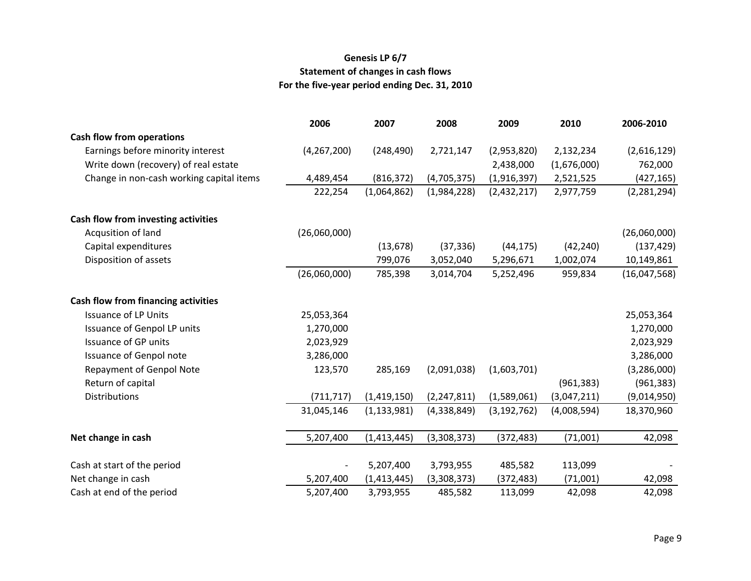# **Genesis LP 6/7 Statement of changes in cash flows For the five-year period ending Dec. 31, 2010**

|                                          | 2006          | 2007          | 2008          | 2009          | 2010        | 2006-2010     |
|------------------------------------------|---------------|---------------|---------------|---------------|-------------|---------------|
| <b>Cash flow from operations</b>         |               |               |               |               |             |               |
| Earnings before minority interest        | (4, 267, 200) | (248, 490)    | 2,721,147     | (2,953,820)   | 2,132,234   | (2,616,129)   |
| Write down (recovery) of real estate     |               |               |               | 2,438,000     | (1,676,000) | 762,000       |
| Change in non-cash working capital items | 4,489,454     | (816, 372)    | (4,705,375)   | (1,916,397)   | 2,521,525   | (427, 165)    |
|                                          | 222,254       | (1,064,862)   | (1,984,228)   | (2,432,217)   | 2,977,759   | (2, 281, 294) |
| Cash flow from investing activities      |               |               |               |               |             |               |
| Acqusition of land                       | (26,060,000)  |               |               |               |             | (26,060,000)  |
| Capital expenditures                     |               | (13, 678)     | (37, 336)     | (44, 175)     | (42, 240)   | (137, 429)    |
| Disposition of assets                    |               | 799,076       | 3,052,040     | 5,296,671     | 1,002,074   | 10,149,861    |
|                                          | (26,060,000)  | 785,398       | 3,014,704     | 5,252,496     | 959,834     | (16,047,568)  |
| Cash flow from financing activities      |               |               |               |               |             |               |
| <b>Issuance of LP Units</b>              | 25,053,364    |               |               |               |             | 25,053,364    |
| Issuance of Genpol LP units              | 1,270,000     |               |               |               |             | 1,270,000     |
| <b>Issuance of GP units</b>              | 2,023,929     |               |               |               |             | 2,023,929     |
| <b>Issuance of Genpol note</b>           | 3,286,000     |               |               |               |             | 3,286,000     |
| Repayment of Genpol Note                 | 123,570       | 285,169       | (2,091,038)   | (1,603,701)   |             | (3, 286, 000) |
| Return of capital                        |               |               |               |               | (961, 383)  | (961, 383)    |
| <b>Distributions</b>                     | (711, 717)    | (1,419,150)   | (2, 247, 811) | (1,589,061)   | (3,047,211) | (9,014,950)   |
|                                          | 31,045,146    | (1, 133, 981) | (4,338,849)   | (3, 192, 762) | (4,008,594) | 18,370,960    |
| Net change in cash                       | 5,207,400     | (1, 413, 445) | (3,308,373)   | (372, 483)    | (71,001)    | 42,098        |
|                                          |               |               |               |               |             |               |
| Cash at start of the period              |               | 5,207,400     | 3,793,955     | 485,582       | 113,099     |               |
| Net change in cash                       | 5,207,400     | (1, 413, 445) | (3,308,373)   | (372, 483)    | (71,001)    | 42,098        |
| Cash at end of the period                | 5,207,400     | 3,793,955     | 485,582       | 113,099       | 42,098      | 42,098        |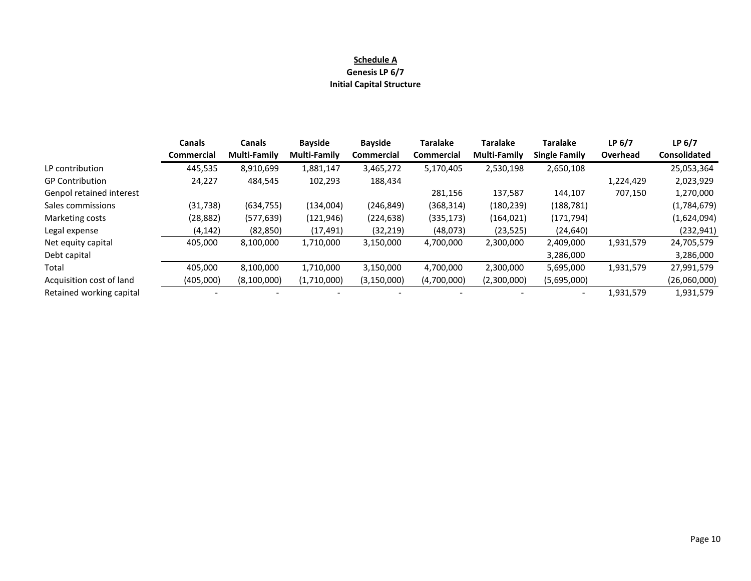#### **Schedule A**

#### **Genesis LP 6/7**

#### **Initial Capital Structure**

|                          | <b>Canals</b>     | <b>Canals</b>       | <b>Bayside</b>      | <b>Bayside</b> | <b>Taralake</b>   | <b>Taralake</b>     | <b>Taralake</b>      | LP <sub>6/7</sub> | LP $6/7$            |
|--------------------------|-------------------|---------------------|---------------------|----------------|-------------------|---------------------|----------------------|-------------------|---------------------|
|                          | <b>Commercial</b> | <b>Multi-Family</b> | <b>Multi-Family</b> | Commercial     | <b>Commercial</b> | <b>Multi-Family</b> | <b>Single Family</b> | Overhead          | <b>Consolidated</b> |
| LP contribution          | 445,535           | 8,910,699           | 1,881,147           | 3,465,272      | 5,170,405         | 2,530,198           | 2,650,108            |                   | 25,053,364          |
| <b>GP Contribution</b>   | 24,227            | 484,545             | 102,293             | 188,434        |                   |                     |                      | 1,224,429         | 2,023,929           |
| Genpol retained interest |                   |                     |                     |                | 281,156           | 137,587             | 144,107              | 707,150           | 1,270,000           |
| Sales commissions        | (31, 738)         | (634, 755)          | (134,004)           | (246, 849)     | (368, 314)        | (180, 239)          | (188, 781)           |                   | (1,784,679)         |
| Marketing costs          | (28, 882)         | (577, 639)          | (121, 946)          | (224, 638)     | (335, 173)        | (164, 021)          | (171, 794)           |                   | (1,624,094)         |
| Legal expense            | (4, 142)          | (82, 850)           | (17, 491)           | (32, 219)      | (48,073)          | (23, 525)           | (24, 640)            |                   | (232, 941)          |
| Net equity capital       | 405,000           | 8,100,000           | 1,710,000           | 3,150,000      | 4,700,000         | 2,300,000           | 2,409,000            | 1,931,579         | 24,705,579          |
| Debt capital             |                   |                     |                     |                |                   |                     | 3,286,000            |                   | 3,286,000           |
| Total                    | 405.000           | 8.100.000           | 1,710,000           | 3,150,000      | 4,700,000         | 2,300,000           | 5,695,000            | 1,931,579         | 27,991,579          |
| Acquisition cost of land | (405,000)         | (8,100,000)         | (1,710,000)         | (3, 150, 000)  | (4,700,000)       | (2,300,000)         | (5,695,000)          |                   | (26,060,000)        |
| Retained working capital |                   |                     |                     |                |                   |                     |                      | 1,931,579         | 1,931,579           |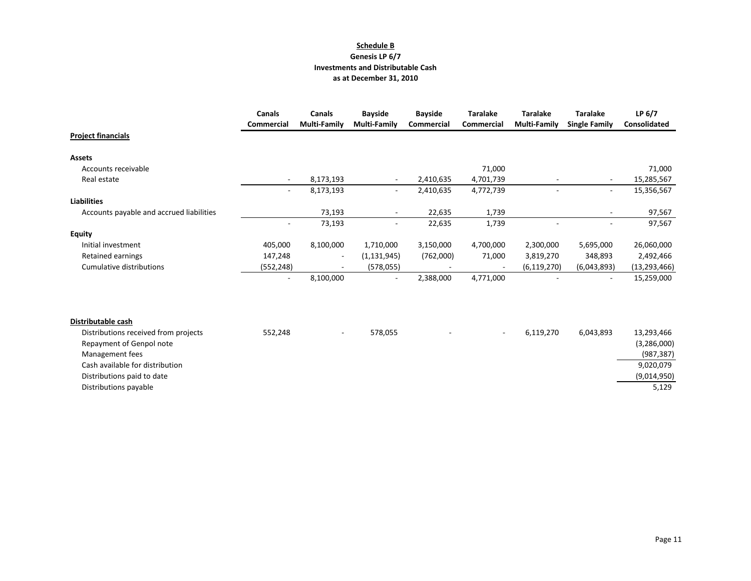#### **Schedule B Genesis LP 6/7 Investments and Distributable Cash as at December 31, 2010**

|                                          | <b>Canals</b><br>Commercial | <b>Canals</b><br><b>Multi-Family</b> | <b>Bayside</b><br><b>Multi-Family</b> | <b>Bayside</b><br><b>Commercial</b> | <b>Taralake</b><br>Commercial | <b>Taralake</b><br><b>Multi-Family</b> | <b>Taralake</b><br><b>Single Family</b> | LP $6/7$<br>Consolidated |
|------------------------------------------|-----------------------------|--------------------------------------|---------------------------------------|-------------------------------------|-------------------------------|----------------------------------------|-----------------------------------------|--------------------------|
| <b>Project financials</b>                |                             |                                      |                                       |                                     |                               |                                        |                                         |                          |
| <b>Assets</b>                            |                             |                                      |                                       |                                     |                               |                                        |                                         |                          |
| Accounts receivable                      |                             |                                      |                                       |                                     | 71,000                        |                                        |                                         | 71,000                   |
| Real estate                              | $\overline{\phantom{a}}$    | 8,173,193                            | $\overline{\phantom{a}}$              | 2,410,635                           | 4,701,739                     |                                        |                                         | 15,285,567               |
|                                          | $\sim$                      | 8,173,193                            | $\sim$                                | 2,410,635                           | 4,772,739                     | $\overline{\phantom{a}}$               | $\sim$                                  | 15,356,567               |
| <b>Liabilities</b>                       |                             |                                      |                                       |                                     |                               |                                        |                                         |                          |
| Accounts payable and accrued liabilities |                             | 73,193                               | $\overline{\phantom{a}}$              | 22,635                              | 1,739                         |                                        |                                         | 97,567                   |
|                                          |                             | 73,193                               | $\overline{\phantom{a}}$              | 22,635                              | 1,739                         |                                        |                                         | 97,567                   |
| <b>Equity</b>                            |                             |                                      |                                       |                                     |                               |                                        |                                         |                          |
| Initial investment                       | 405,000                     | 8,100,000                            | 1,710,000                             | 3,150,000                           | 4,700,000                     | 2,300,000                              | 5,695,000                               | 26,060,000               |
| Retained earnings                        | 147,248                     |                                      | (1, 131, 945)                         | (762,000)                           | 71,000                        | 3,819,270                              | 348,893                                 | 2,492,466                |
| Cumulative distributions                 | (552, 248)                  |                                      | (578, 055)                            |                                     |                               | (6, 119, 270)                          | (6,043,893)                             | (13, 293, 466)           |
|                                          |                             | 8,100,000                            | $\overline{\phantom{a}}$              | 2,388,000                           | 4,771,000                     |                                        |                                         | 15,259,000               |
|                                          |                             |                                      |                                       |                                     |                               |                                        |                                         |                          |
| Distributable cash                       |                             |                                      |                                       |                                     |                               |                                        |                                         |                          |
| Distributions received from projects     | 552,248                     |                                      | 578,055                               |                                     | $\overline{\phantom{a}}$      | 6,119,270                              | 6,043,893                               | 13,293,466               |
| Repayment of Genpol note                 |                             |                                      |                                       |                                     |                               |                                        |                                         | (3,286,000)              |
| Management fees                          |                             |                                      |                                       |                                     |                               |                                        |                                         | (987, 387)               |
| Cash available for distribution          |                             |                                      |                                       |                                     |                               |                                        |                                         | 9,020,079                |
| Distributions paid to date               |                             |                                      |                                       |                                     |                               |                                        |                                         | (9,014,950)              |
| Distributions payable                    |                             |                                      |                                       |                                     |                               |                                        |                                         | 5,129                    |